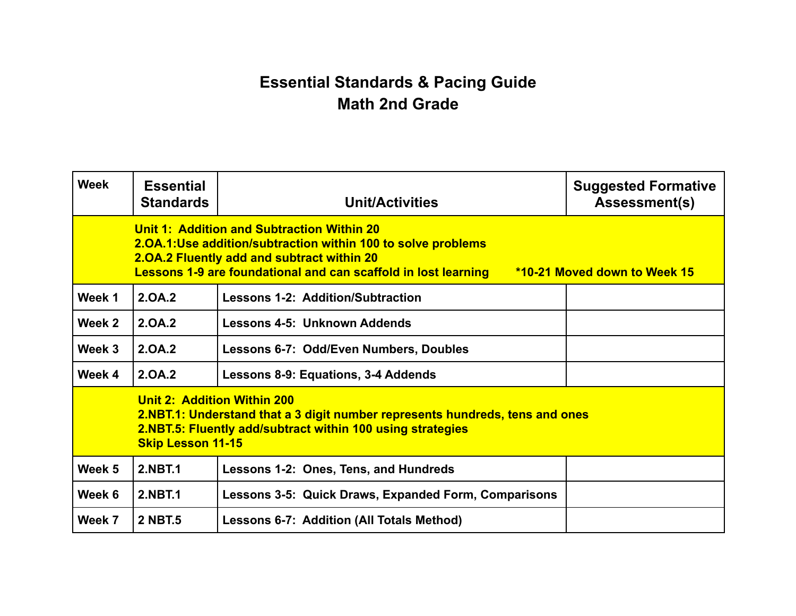## **Essential Standards & Pacing Guide Math 2nd Grade**

| <b>Week</b> | <b>Essential</b><br><b>Standards</b>                                                                                                                                                                                                                       | <b>Unit/Activities</b>                               | <b>Suggested Formative</b><br>Assessment(s) |  |  |
|-------------|------------------------------------------------------------------------------------------------------------------------------------------------------------------------------------------------------------------------------------------------------------|------------------------------------------------------|---------------------------------------------|--|--|
|             | Unit 1: Addition and Subtraction Within 20<br>2.0A.1:Use addition/subtraction within 100 to solve problems<br>2.0A.2 Fluently add and subtract within 20<br>Lessons 1-9 are foundational and can scaffold in lost learning<br>*10-21 Moved down to Week 15 |                                                      |                                             |  |  |
| Week 1      | 2.0A.2                                                                                                                                                                                                                                                     | <b>Lessons 1-2: Addition/Subtraction</b>             |                                             |  |  |
| Week 2      | 2.0A.2                                                                                                                                                                                                                                                     | Lessons 4-5: Unknown Addends                         |                                             |  |  |
| Week 3      | 2.0A.2                                                                                                                                                                                                                                                     | <b>Lessons 6-7: Odd/Even Numbers, Doubles</b>        |                                             |  |  |
| Week 4      | 2.0A.2                                                                                                                                                                                                                                                     | Lessons 8-9: Equations, 3-4 Addends                  |                                             |  |  |
|             | <b>Unit 2: Addition Within 200</b><br>2.NBT.1: Understand that a 3 digit number represents hundreds, tens and ones<br>2.NBT.5: Fluently add/subtract within 100 using strategies<br><b>Skip Lesson 11-15</b>                                               |                                                      |                                             |  |  |
| Week 5      | <b>2.NBT.1</b>                                                                                                                                                                                                                                             | Lessons 1-2: Ones, Tens, and Hundreds                |                                             |  |  |
| Week 6      | <b>2.NBT.1</b>                                                                                                                                                                                                                                             | Lessons 3-5: Quick Draws, Expanded Form, Comparisons |                                             |  |  |
| Week 7      | <b>2 NBT.5</b>                                                                                                                                                                                                                                             | <b>Lessons 6-7: Addition (All Totals Method)</b>     |                                             |  |  |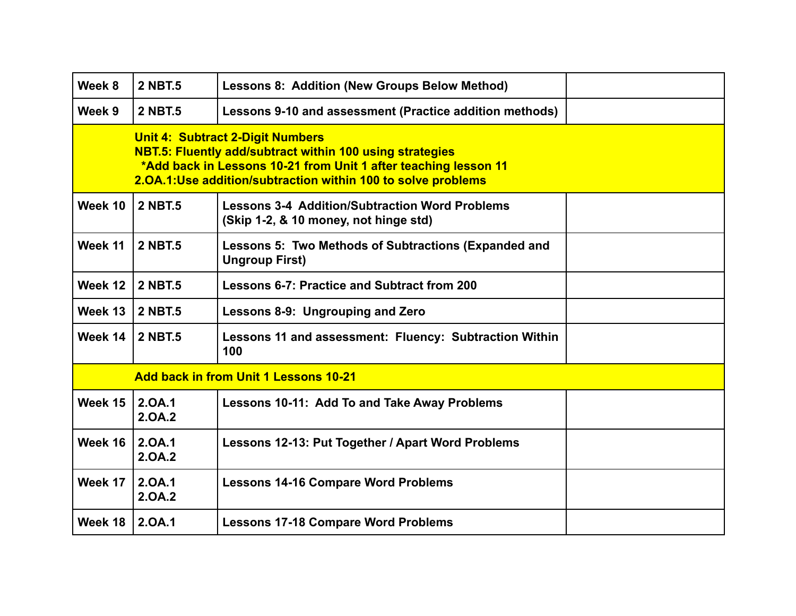| Week 8                                       | <b>2 NBT.5</b>                                                                                                                                                                                                                                | <b>Lessons 8: Addition (New Groups Below Method)</b>                                           |  |  |  |  |
|----------------------------------------------|-----------------------------------------------------------------------------------------------------------------------------------------------------------------------------------------------------------------------------------------------|------------------------------------------------------------------------------------------------|--|--|--|--|
| Week 9                                       | <b>2 NBT.5</b>                                                                                                                                                                                                                                | Lessons 9-10 and assessment (Practice addition methods)                                        |  |  |  |  |
|                                              | <b>Unit 4: Subtract 2-Digit Numbers</b><br><b>NBT.5: Fluently add/subtract within 100 using strategies</b><br>*Add back in Lessons 10-21 from Unit 1 after teaching lesson 11<br>2.0A.1:Use addition/subtraction within 100 to solve problems |                                                                                                |  |  |  |  |
| Week 10                                      | <b>2 NBT.5</b>                                                                                                                                                                                                                                | <b>Lessons 3-4 Addition/Subtraction Word Problems</b><br>(Skip 1-2, & 10 money, not hinge std) |  |  |  |  |
| Week 11                                      | <b>2 NBT.5</b>                                                                                                                                                                                                                                | Lessons 5: Two Methods of Subtractions (Expanded and<br><b>Ungroup First)</b>                  |  |  |  |  |
| Week 12                                      | <b>2 NBT.5</b>                                                                                                                                                                                                                                | Lessons 6-7: Practice and Subtract from 200                                                    |  |  |  |  |
| Week 13                                      | <b>2 NBT.5</b>                                                                                                                                                                                                                                | Lessons 8-9: Ungrouping and Zero                                                               |  |  |  |  |
| Week 14                                      | <b>2 NBT.5</b>                                                                                                                                                                                                                                | Lessons 11 and assessment: Fluency: Subtraction Within<br>100                                  |  |  |  |  |
| <b>Add back in from Unit 1 Lessons 10-21</b> |                                                                                                                                                                                                                                               |                                                                                                |  |  |  |  |
| Week 15                                      | 2.0A.1<br>2.0A.2                                                                                                                                                                                                                              | Lessons 10-11: Add To and Take Away Problems                                                   |  |  |  |  |
| Week 16                                      | 2.0A.1<br>2.0A.2                                                                                                                                                                                                                              | Lessons 12-13: Put Together / Apart Word Problems                                              |  |  |  |  |
| Week 17                                      | 2.0A.1<br>2.0A.2                                                                                                                                                                                                                              | <b>Lessons 14-16 Compare Word Problems</b>                                                     |  |  |  |  |
| Week 18                                      | 2.0A.1                                                                                                                                                                                                                                        | <b>Lessons 17-18 Compare Word Problems</b>                                                     |  |  |  |  |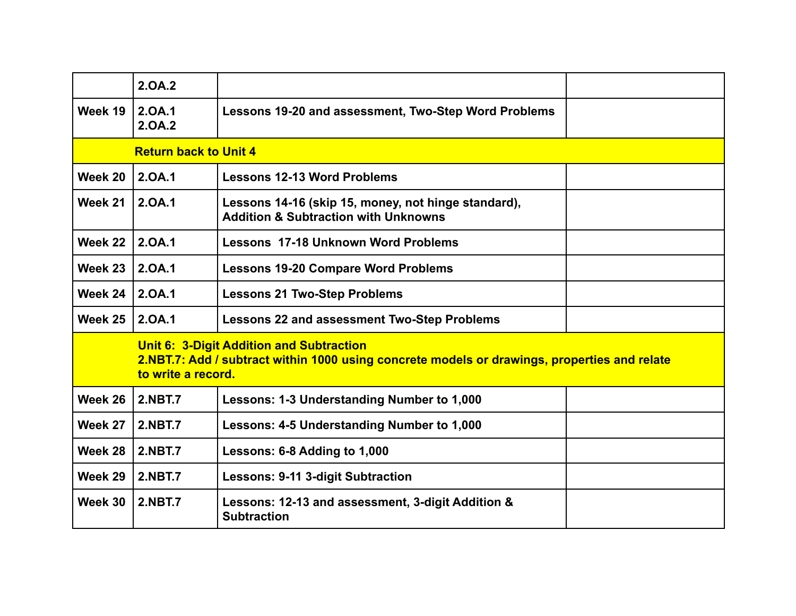|                              | 2.0A.2                                                                                                                                                                |                                                                                                        |  |  |  |  |
|------------------------------|-----------------------------------------------------------------------------------------------------------------------------------------------------------------------|--------------------------------------------------------------------------------------------------------|--|--|--|--|
| Week 19                      | 2.OA.1<br>2.0A.2                                                                                                                                                      | Lessons 19-20 and assessment, Two-Step Word Problems                                                   |  |  |  |  |
| <b>Return back to Unit 4</b> |                                                                                                                                                                       |                                                                                                        |  |  |  |  |
| Week 20                      | 2.0A.1                                                                                                                                                                | <b>Lessons 12-13 Word Problems</b>                                                                     |  |  |  |  |
| Week 21                      | 2.0A.1                                                                                                                                                                | Lessons 14-16 (skip 15, money, not hinge standard),<br><b>Addition &amp; Subtraction with Unknowns</b> |  |  |  |  |
| Week 22                      | 2.0A.1                                                                                                                                                                | <b>Lessons 17-18 Unknown Word Problems</b>                                                             |  |  |  |  |
| Week 23                      | 2.0A.1                                                                                                                                                                | <b>Lessons 19-20 Compare Word Problems</b>                                                             |  |  |  |  |
| Week 24                      | 2.0A.1                                                                                                                                                                | <b>Lessons 21 Two-Step Problems</b>                                                                    |  |  |  |  |
| Week 25                      | 2.0A.1                                                                                                                                                                | <b>Lessons 22 and assessment Two-Step Problems</b>                                                     |  |  |  |  |
|                              | <b>Unit 6: 3-Digit Addition and Subtraction</b><br>2.NBT.7: Add / subtract within 1000 using concrete models or drawings, properties and relate<br>to write a record. |                                                                                                        |  |  |  |  |
| Week 26                      | <b>2.NBT.7</b>                                                                                                                                                        | Lessons: 1-3 Understanding Number to 1,000                                                             |  |  |  |  |
| Week 27                      | <b>2.NBT.7</b>                                                                                                                                                        | Lessons: 4-5 Understanding Number to 1,000                                                             |  |  |  |  |
| Week 28                      | <b>2.NBT.7</b>                                                                                                                                                        | Lessons: 6-8 Adding to 1,000                                                                           |  |  |  |  |
| Week 29                      | <b>2.NBT.7</b>                                                                                                                                                        | <b>Lessons: 9-11 3-digit Subtraction</b>                                                               |  |  |  |  |
| Week 30                      | <b>2.NBT.7</b>                                                                                                                                                        | Lessons: 12-13 and assessment, 3-digit Addition &<br><b>Subtraction</b>                                |  |  |  |  |